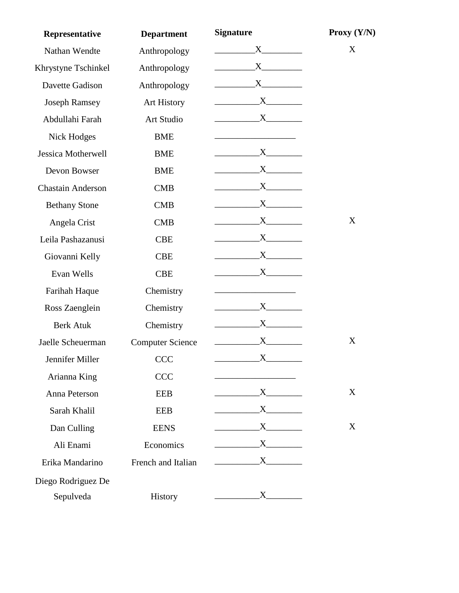| Representative            | <b>Department</b>       | <b>Signature</b>        | Proxy $(Y/N)$ |
|---------------------------|-------------------------|-------------------------|---------------|
| Nathan Wendte             | Anthropology            | $X \sim$                | X             |
| Khrystyne Tschinkel       | Anthropology            |                         |               |
| Davette Gadison           | Anthropology            | $X$ and $X$             |               |
| <b>Joseph Ramsey</b>      | <b>Art History</b>      | $X$ <sub>1</sub>        |               |
| Abdullahi Farah           | Art Studio              | $X$ <sub>1</sub>        |               |
| <b>Nick Hodges</b>        | <b>BME</b>              |                         |               |
| <b>Jessica Motherwell</b> | <b>BME</b>              | $X$ and $X$             |               |
| Devon Bowser              | <b>BME</b>              |                         |               |
| <b>Chastain Anderson</b>  | <b>CMB</b>              | $X$ and $X$             |               |
| <b>Bethany Stone</b>      | <b>CMB</b>              | $X$ and $X$             |               |
| Angela Crist              | <b>CMB</b>              | $X$ and $X$             | X             |
| Leila Pashazanusi         | <b>CBE</b>              | $X$ and $X$             |               |
| Giovanni Kelly            | <b>CBE</b>              | $X$ and $X$             |               |
| Evan Wells                | <b>CBE</b>              | $X$ and $X$             |               |
| Farihah Haque             | Chemistry               |                         |               |
| Ross Zaenglein            | Chemistry               | $X$ and $X$             |               |
| <b>Berk Atuk</b>          | Chemistry               | $X$ and $X$             |               |
| Jaelle Scheuerman         | <b>Computer Science</b> | $X_{-}$                 | X             |
| Jennifer Miller           | <b>CCC</b>              | $\mathbf{X}$            |               |
| Arianna King              | <b>CCC</b>              |                         |               |
| Anna Peterson             | <b>EEB</b>              | $\overline{\mathbf{X}}$ | X             |
| Sarah Khalil              | <b>EEB</b>              |                         |               |
| Dan Culling               | <b>EENS</b>             | $X$ and $X$             | X             |
| Ali Enami                 | Economics               | $X$ and $X$             |               |
| Erika Mandarino           | French and Italian      | $X \sim$                |               |
| Diego Rodriguez De        |                         |                         |               |
| Sepulveda                 | History                 |                         |               |